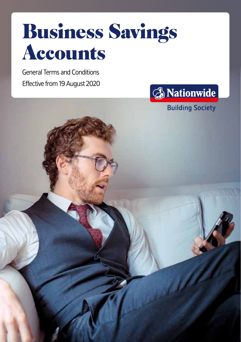

General Terms and Conditions Effective from 19 August 2020



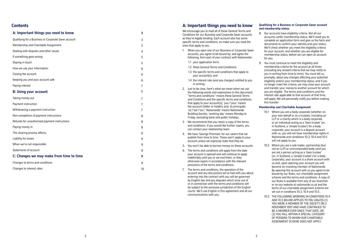## **Contents**

| A: Important things you need to know                 | 3              |
|------------------------------------------------------|----------------|
| Qualifying for a Business or Corporate Saver account | 3              |
| Membership and Charitable Assignment                 | 3              |
| Dealing with disputes and other issues               | 4              |
| If something goes wrong                              | 5              |
| Staying in touch                                     | 5              |
| How we use your information                          | 6              |
| Closing the account                                  | 6              |
| Keeping you and your account safe                    | 6              |
| Paying interest                                      | 7              |
| <b>B: Using your account</b>                         | $\overline{7}$ |
| Taking money out                                     | $\overline{7}$ |
| Payment instruction                                  | $\overline{7}$ |
| Withdrawing a payment instruction                    | $\overline{7}$ |
| Non-completion of payment instructions               | 8              |
| Refunds for unauthorised payment instructions        | 8              |
| Paying money in                                      | 8              |
| The clearing process affects:                        | 8              |
| Liability for losses                                 | 9              |
| When we're not responsible                           | 9              |
| Statements of account                                | 9              |
| C: Changes we may make from time to time             | 9              |
| Changes to terms and conditions                      | 9              |
| Changes to interest rates                            | 10             |
|                                                      |                |

## **A: Important things you need to know**

We encourage you to read all of these General Terms and Conditions for our Business and Corporate Saver accounts as they're legally binding. Each account also has some specific terms and conditions, so make sure you read the ones that apply to you.

- 1. When you open one of our Business or Corporate Saver accounts, you agree to be bound by, and agree the following, form part of your contract with Nationwide:
	- 1.1 your application form;
	- 1.2 these General Terms and Conditions;
	- 1.3 the specific terms and conditions that apply to your account(s); and
	- 1.4 the interest rate (and any charges) notified to you in writing.
- 2. Just to be clear, here's what we mean when we use the following words and expressions in this document: "terms and conditions" means these General Terms and Conditions and the specific terms and conditions that apply to your account(s); 'you'/'your' means the account holder or holders and, its principals; 'us'/'we'/'our'; 'Nationwide' means Nationwide Building Society; 'working day' means Monday to Friday, excluding bank and public holidays.
- 3. We recommend that you retain a copy of the terms and conditions. If you would like further copies, you can contact your relationship team.
- 4. We have 'Savings Promises' for our savers that we publish from time to time. These won't apply to your account unless we expressly state that they do.
- 5. You won't be able to borrow money on these accounts.
- 6. The terms and conditions will apply from the date your account is opened and will continue to apply indefinitely until you or we end them, or they otherwise expire in accordance with the relevant provisions of the terms and conditions.
- 7. The terms and conditions, the operation of the account and any discussions we've had with you about entering into the contract with you will be governed by English law and any disputes which arise out of or in connection with the terms and conditions will be subject to the exclusive jurisdiction of the English courts. We'll use English in this agreement and all our communications with you.

#### **Qualifying for a Business or Corporate Saver account and membership status**

- 8. Our accounts have eligibility criteria. Not all our accounts confer membership status. We'll need you to complete an application form and give us the facts and documents to confirm your identity and your status. We'll check whether you meet the eligibility criteria for your account, and whether you are eligible for membership status, before we can open an account for you.
- 9. You must continue to meet the eligibility and membership criteria for the account at all times (including any revised criteria that we may notify to you in writing from time to time). You must tell us, promptly, about any changes affecting your potential eligibility and/or your membership status, and if you no longer meet the criteria, we may close your account and transfer your money to another account for which you are eligible. The terms and conditions and the interest rate applicable to that account at that time, will apply. We will personally notify you before making this transfer.

#### **Membership and Charitable Assignment**

- 10.1 Where you are a body corporate (whether on your own behalf or as a trustee), including an LLP or a charity which is a body corporate, or an individual acting as a 'bare trustee' (or, in Scotland, a 'simple trustee') for a body corporate, your account is a deposit account with us, you will not have membership rights in Nationwide and conditions 10.3, 10.4 and 10.5 will not apply to you.
- 10.2 Where you are a sole trader, partnership (but not an LLP) or unincorporated body (and you are not a person acting as a 'bare trustee' (or, in Scotland, a 'simple trustee') for a body corporate), your account is a share account with us and, upon opening your account you will become an investing member of Nationwide. By opening this account with us you agree to be bound by our Rules, our charitable assignment scheme and the terms and conditions. A copy of our Rules is available from any of our branches or on our website at nationwide.co.uk and the terms of our charitable assignment scheme are set out in conditions 10.3, 10.4 and 10.5.
- 10.3 THE FOLLOWING WORDING IN CONDITIONS 10.4 AND 10.5 BELOW APPLIES TO YOU UNLESS (1) YOU WERE A MEMBER OF THE SOCIETY ON 2 NOVEMBER 1997 AND HAVE CONTINUED TO BE A MEMBER EVER SINCE THAT DATE; OR (2) YOU FALL WITHIN A SPECIAL CATEGORY OF PERSONS TO WHOM OUR CHARITABLE ASSIGNMENT SCHEME DOES NOT APPLY.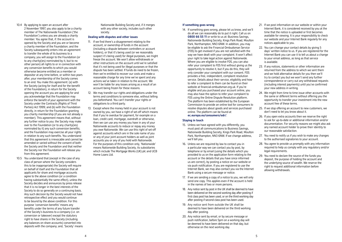- 10.4 By applying to open an account after 2 November 1997, you also apply to be a charity member of The Nationwide Foundation ('the Foundation') unless you are already a charity member. You agree that, if: the account is opened by the Society and you are or become a charity member of the Foundation; and the Society subsequently enters into an agreement to transfer the whole of its business to a company, you will assign to the Foundation (or to any charity(ies) nominated by it, but to no other person) all rights to or in connection with any conversion benefits to which you would otherwise become entitled as a member or depositor at any time before, or within two years after, your membership of the Society comes to an end. You make this agreement: (a) with the Society (acting for itself and for the benefit of the Foundation), in return for the Society opening the account you are applying for and you acknowledge that the Foundation may enforce the benefit of your agreement with the Society under the Contracts (Rights of Third Parties) Act 1999; and (b) with the Foundation directly, in return for the Foundation granting you charity membership (if you are not already a member). This agreement means that, without any further notice to you: the Society may make over to the Foundation (or to any charity(ies) nominated by it) any such conversion benefits; and the Foundation may exercise all your rights in relation to any such benefits. You understand that this agreement is irrevocable and cannot be amended or varied without the consent of both the Society and the Foundation and that neither the Society nor the Foundation will release you from this agreement.
- 10.5 You understand that (except in the case of any class of person where the Society considers this to be inappropriate) the Society will require on behalf of itself and the Foundation that all applicants for share and mortgage accounts agree to the above condition (or a condition having substantially the same effect), unless the Society decides and announces by press release that it is no longer in the best interests of the Society to do so generally on a continuing basis. Any such decision by the Society would not have retrospective effect and you would continue to be bound by the above condition. For this purpose 'conversion benefits' means any benefits under the terms of any future transfer of the Society's business to a company (i.e. on conversion or takeover) except the statutory right to have shares in the Society (including any balances on share accounts) converted into deposits with the company; and, 'Society' means

Nationwide Building Society and, if it merges with any other society, includes such other society.

#### **Dealing with disputes and other issues**

- 11. If we find there's a disagreement relating to the account, or ownership of funds in the account (including a dispute between controllers or account holders), or that it's being used (or we reasonably suspect it's being used) for illegal purposes, we might freeze the account. We won't allow withdrawals or other instructions on the account until we're satisfied that it's not being used for illegal purposes or that the dispute has been settled. If funds do need to be frozen, then we're entitled to recover our costs and make a reasonable charge for any time we've spent and any actions we've taken in relation to the account. We won't be liable for any losses arising as a result of an account being frozen for these reasons.
- 12. We may transfer our rights and obligations under the terms and conditions to someone else, without telling you beforehand. You can't transfer your rights or obligations to a third party.
- 13. Except where the money held in your account is not owned by you, we have a right of set-off which means that if you're overdue for payment, for example on a loan, credit card, mortgage, overdraft or otherwise, then we can use any money you have in any of your Nationwide accounts to reduce or repay any money you owe Nationwide. We can use this right of set-off against accounts which are in the sole name of you or any of your joint account holders as well as joint accounts you or any of you hold with Nationwide. For the purposes of this condition only, 'Nationwide' means Nationwide Building Society, its subsidiaries which include The Mortgage Works (UK) plc and UCB Home Loans Ltd.

#### **If something goes wrong**

14. If something goes wrong, please let us know, and we'll do all we can reasonably do to put it right. Call us on **0800 66 55 11** or write to us at: Business Savings, Nationwide Building Society, Kings Park Road, Moulton Park, Northampton, NN3 6NW. In addition, you may be eligible to ask the Financial Ombudsman Service (FOS) to get involved if you are not satisfied with the way we have dealt with your complaint. It won't affect your right to take legal action against Nationwide. Where you are eligible to involve FOS, you can also refer your complaint to FOS first without giving us the opportunity to resolve it, but if you do this, they will only consider your complaint with our consent. FOS provides a free, independent, complaint resolution service. Details about their service, eligibility and how to refer a complaint to them can be found on their website at financial-ombudsman.org.uk. If you're eligible and you purchased your account online, you may also have the option to refer your complaint to FOS using the Online Dispute Resolution platform. The platform has been established by the European Commission to provide an online tool for consumers to resolve disputes about goods and services purchased online. The platform can be found at **ec.europa.eu/consumers/odr/**.

#### **Staying in touch**

- 15. Unless we have agreed with you differently, you must post all communications to Business Savings, Nationwide Building Society, Kings Park Road, Moulton Park, Northampton, NN3 6NW. If we change address, we'll tell you.
- 16. Unless we are required by law to contact you in a particular way we can contact you by post, by telephone or by email (using the details which you provided to us on the application form relating to the account or the details that you have since informed us are correct), by posting a notice on our website or via push notification. If you are registered to use the Internet Bank, we may also contact you via the Internet Bank using a secure message or notice.
- 17. If we are sending a copy of a notice to you, we will only send one copy. This applies even if the account is held in the names of two or more persons.
- 18. Any notice sent by post in the UK shall be deemed to have been delivered on the second working day after posting if first class post has been used, or on the third working day after posting if second class post has been used.
- 19. Any notice sent from outside the UK shall be deemed to have been delivered on the third working day after posting.
- 20. Any notice sent by email, or by secure message or push notification, before 5pm on a working day will be deemed to have been delivered on that day, but otherwise on the next working day.
- 21. If we post information on our website or within your Internet Bank, it is considered received by you at the time that the notice is uploaded or first becomes available for viewing. It is your responsibility to check our website and your Internet Bank regularly for any notices applicable to you.
- 22. You can change your contact details by giving 5 days' written notice to us. If you are registered for the Internet Bank you can use it to tell us about a change to your email address, as long as that service is available.
- 23. If any notices, statements or other information are returned from the address to which we sent them and we hold alternative details for you then we'll try to contact you but we won't send any further correspondence or carry out any withdrawal requests (including interest payments) until you've confirmed your new address in writing.
- 24. We might from time to time issue other accounts with the same or different terms without offering you the opportunity to transfer your investment into the new account free of these terms.
- 25. If we stop offering an account to new customers, we don't need to let you know about it.
- 26. If you open extra accounts then we reserve the right to ask for up-to-date or additional information and/or documentation. For security reasons we might also ask any named account holder to prove their identity to our reasonable satisfaction.
- 27. You need to notify us if you wish to make any changes to the authorised signatories to your account.
- 28. You agree to provide us promptly with any information required to help us comply with any regulatory and/or legal requirements.
- 29. You need to declare the source of the funds you deposit, the purpose of holding the account and the underlying source of wealth. We reserve the right to request additional information before allowing withdrawals.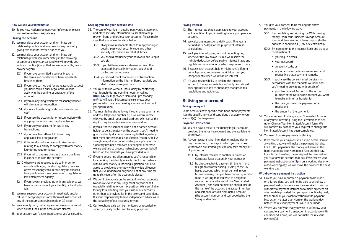#### **How we use your information**

30. To see how Nationwide uses your information please visit **nationwide.co.uk/privacy**

#### **Closing the account**

- 31. We may close your account and terminate our relationship with you at any time for any reason by giving two months' written notice to you.
- 32. We may close your account and terminate our relationship with you immediately in the following exceptional circumstances (and we will provide you with such notice (if any) that we are required by law to provide to you):
	- 32.1 if you have committed a serious breach of the terms and conditions or have repeatedly breached them;
	- 32.2 if you have carried out (or we reasonably suspect you have carried out) illegal or fraudulent activity in the opening or operation of the account;
	- 32.3 if you do anything which we reasonably believe will damage our reputation;
	- 32.4 if you are threatening or abusive towards our staff;
	- 32.5 if you use the account for or in connection with any purpose which is or may be unlawful;
	- 32.6 if you use your account for day-to-day transactions;
	- 32.7 if you breach or attempt to breach any applicable law or regulation;
	- 32.8 if the conduct of your account raises issues relating to our ability to comply with anti-money laundering requirements;
	- 32.9 if you fail to pay any charges that are due to us in connection with the account;
	- 32.10 where we are required to do so in order to comply with legal, fiscal or regulatory reasons or we reasonably consider we may be exposed to any action from any government, regulator or law enforcement agency;
	- 32.11 if you haven't provided us with any evidence we have requested about your identity or liability for tax.
- 33. We may suspend your account immediately and/or refuse to accept deposits or withdrawal instructions if any of the circumstances in condition 32 occur.
- 34. We can only carry out a request to close your account when all the funds in the account are cleared.
- 35. Your account won't earn interest once you've closed it.

#### **Keeping you and your account safe**

- 36. The care of your log-in details, passwords, statements and other security information is essential to help prevent fraud and protect your accounts. Please make sure that you follow the steps below:
	- 36.1 always take reasonable steps to keep your log-in details, password, security code and other security information secret at all times;
	- 36.2 you should memorise your password and keep it secret;
	- 36.3 if you fail to receive a statement or any other expected financial information, you should contact us immediately;
	- 36.4 you should check statements, or transaction information on the Internet Bank, regularly and alert us to any irregularities.
- 37. You must tell us without undue delay by contacting your branch (during opening hours) or calling **0800 66 55 11** (between 9am and 5pm Monday to Friday) if you think someone else knows your password or may be accessing your account without your permission.
- 38. You must tell us straightaway if you change your name, address, telephone number or, if we communicate with you by email, your email address. We reserve the right to require evidence of your new address.
- 39. If you authorise someone who's not a named account holder to be a signatory on the account, you'll need to give us identity documents relating to that signatory that meet our reasonable satisfaction. You must tell us straightaway if an account holder, principle or account signatory has been removed or changed, otherwise we are entitled to process instructions on your behalf based on the mandate you have provided to us.
- 40. If you're depositing client monies you're responsible for checking the identity of each client in accordance with UK anti-money laundering legislation. You also agree to provide us promptly with any due diligence that you've undertaken on your client at any time for up to six years after the account is closed.
- 41. We don't give advice on the suitability of our accounts. Nor do we exercise any judgement on your behalf especially relating to your tax position. We aren't liable for any loss resulting from your use of our accounts other than as provided for in the terms and conditions. It's your responsibility to take independent advice as to the suitability of our accounts for you.
- 42. Our telephone calls can be monitored or recorded for security, quality control and training purposes.

#### **Paying interest**

- 43. The interest rate that is applicable to your account will be notified to you in writing before you open your account.
- 44. We calculate interest on a daily basis. One year is defined as 365 days for the purpose of interest calculations.
- 45. We'll pay interest gross, without deducting tax, whenever the law allows us. But we reserve the right to deduct tax before paying interest if laws and regulations come into force which require us to do so.
- 46. Because each account holder might have different tax obligations, we reserve the right to treat you independently when we divide up interest.
- 47. It's your responsibility to declare the interest earned to the appropriate tax authority. You should seek appropriate advice about any changes in tax regulations and guidance.

# **B: Using your account**

#### **Taking money out**

Some accounts have specific conditions about payments (see the specific terms and conditions that apply to your account(s)). But in general:

#### **Payment Instructions**

- 48. You can have access to the money in your account, provided the funds have cleared and are available for withdrawal.
- 49. As your account is not intended for making day-today transactions, the ways in which you can make withdrawals are limited; you can only take money out of your account:
	- 49.1 by internal transfer to another Business or Corporate Saver account in your name; or
	- 49.2 by direct electronic payment (in the form of a telegraphic transfer using CHAPS) to the UK based account, which must be held in your business name, that you have previously notified to us in writing that you wish to designate as your nominated account (the "Nominated Account") and such notification should include the name of the account, the account number and sort code of such Nominated Account (the account number and sort code being the "unique identifier").
- 50. You give your consent to us making the above payments in the following ways:
	- 50.1 By completing and signing the Withdrawing Money From Your Business Savings Account form and then sending it to us by post (to the address in condition 15), fax or electronically.
	- 50.2 By logging on to the Internet Bank and using a combination of:
		- vour log-in details:
		- your password;
		- a security code; or
		- any other security details we request and requesting that a payment is made.
	- 50.3 In each case the consent must be given in accordance with the mandate we hold, and you'll need to provide us with details of:
		- your Nominated Account or the account number of the Nationwide account you want to make an internal transfer to;
		- the date you want the payment to be made; and
		- the amount of the payment.
- 51. You can request to change your Nominated Account at any time in writing using the Permissions to Setup or Change Your Nominated Account form. We will confirm by post once your request to change the Nominated Account has been completed.
- 52. You need to make payments in Sterling.
- 53. If we receive your payment instruction before 3pm on a working day, we will make the payment that day. For CHAPS payments, the money will arrive at the bank that holds your Nominated Account that day. For internal transfers, the money will be received into your Nationwide account that day. If we receive your payment instruction after 3pm on a working day or on a non-working day, we will make the payment the next working day.

#### **Withdrawing a payment instruction**

- 54. Unless you have requested a payment to be made on a future date, you will not be able to withdraw a payment instruction once we have received it. You can withdraw a payment instruction to make payment on a future date provided that you give us notice by post, fax or email of your wish to withdraw the payment instruction no later than 4pm on the working day before the relevant payment is due to be made.
- 55. Where you notify us that you wish to withdraw your consent to a payment transaction in accordance with condition 54 above, we will not make the relevant payment(s).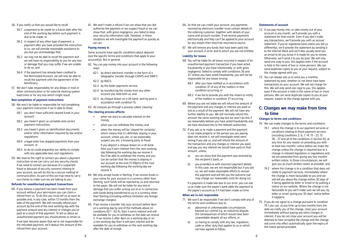56. If you notify us that you would like to recall:

- 56.1 a payment to be made on a future date after the end of the working day before such payment is due to be made; or
- 56.2 in respect of any other type of payment, a payment after you have provided the instruction to us, we will provide reasonable assistance to you but you acknowledge that:
- 56.3 we may not be able to recall the payment and we will have no responsibility to you for any loss or damage that you may suffer if we are unable to do so; and
- 56.4 if the payment has already been credited to the Nominated Account, we will only be able to recall the payment with the agreement of the beneficiary.
- 57. We don't take responsibility for any delays in mail or other communication or for external clearing system lead times or for any loss which might result.

#### **Non-completion of payment instructions**

- 58. We won't be liable or responsible for not completing your payment instruction if we're able to show:
	- 58.1 you don't have sufficient cleared funds in your account;
	- 58.2 you haven't given us complete and correct payment instructions;
	- 58.3 you haven't given us identification documents and/or other information required by law and/or regulations;
	- 58.4 a legal order has stopped payments from your account, or
	- 58.5 to do so could jeopardise our ability to comply with any applicable laws and regulations.
- 59. We reserve the right to contact you about a payment instruction so we can carry out any security checks. If we need to contact you because of a suspected fraud or because of security concerns relating to your account, we will do this by a secure method of communication. As part of this we may need to carry out checks to make sure we are talking to you.

#### **Refunds for unauthorised payment transactions**

60. If you believe a payment has been made from your account without your permission you can claim a refund from us. To do this you must tell us as soon as possible and, in any case, within 13 months from the date of the payment. We will normally refund your account by the end of the next working day with the payment amount and any interest or charges you've paid as a result of that payment. To tell us about an unauthorised payment you should phone or email us.

If we later become aware that we're not responsible for the refunded payment, we'll deduct the amount of the refund from your account.

61. We won't make a refund if we can show that you did authorise the payment or we suspect fraud or we can show that, with gross negligence, you failed to keep your security information safe. However, in these situations we will investigate the payment as quickly as we can.

#### **Paying money in**

Some accounts have specific conditions about deposits (see the specific terms and conditions that apply to your account(s)). But in general:

- 62. You can pay money into your account in the following ways:
	- 62.1 by direct electronic transfer in the form of a telegraphic transfer through CHAPS and SWIFT;
	- 62.2 by BACS;
	- 62.3 by the faster payments service;
	- 62.4 by transferring the money from any other account you hold with us; and
- 62.5 by cheque drawn on a UK bank, sent by post in accordance with condition 15.
- 63. All cheques go through a process called 'clearing'.

#### **The clearing process affects:**

- when we start to calculate interest on the money;
- when you can withdraw the money; and
- when the money will be 'cleared for certainty' which means that it's definitely staving in your account, unless you are, or we reasonably suspect you are, a knowing party to fraud.
	- If you deposit a cheque drawn on a UK bank then you'll earn interest from the next working day following the working day we receive it. You'll be able to withdraw the money and you can be certain that the money is staying in our account at the end (11.59pm) of the next working day following the working day we receive it.
- 64. We only accept funds in Sterling. If we receive funds in your name for your account in a currency other than Sterling, such funds will be rejected by us and returned to the payer. We will not be liable for any loss or damage that you suffer arising out of or in connection with funds being transferred to us in a currency other than Sterling (including without limitation any foreign exchange charges).
- 65. If we receive a transfer into your account before 4pm on a working day by one of the methods above (in conditions 62.1 - 62.4), then it earns interest and will be available for you to withdraw on the date we receive it. If we receive it after 4pm on a working day or on a non-working day then it will earn interest and be available for you to withdraw on the next working day after the date of receipt.
- 66. So that we can credit your account, any payments received by electronic transfer must contain details of the ordering customer, together with details of your name and account number. If we receive payments electronically and they can't be applied to your account for any reason then they'll be returned to source.
- 67. We will remove any funds that have been paid into your account in error and to which you are not entitled.

#### **Liability for losses**

- 68. You will be liable for all losses incurred in respect of an unauthorised payment transaction if you have acted fraudulently or you have intentionally, or with gross negligence, failed to comply with conditions 36 and 37. Unless you have acted fraudulently, you will not be responsible for any losses arising:
	- 68.1 after you have notified us in accordance with condition 37 of any of the matters in that condition occurring; or
	- 68.2 if we fail to provide you with the means to notify of the matters in condition 37 occurring.
- 69. Where you are not liable we will refund the amount of the payment and any charges or interest you paid or lost as a result of the payment. We will not have any further liability to you. We will normally refund this amount the same working day but we won't do this if we reasonably believe you have acted fraudulently and we have disclosed this to the relevant authorities.
- 70. If you ask us to make a payment and the payment is not made properly or the person you are paying does not receive it, we will investigate what went wrong if you ask us, and will refund the amount of the transaction and any charges or interest you paid, and pay you any interest we would have paid on that amount, unless:
	- a) we can show that the payment was received by the recipient's bank; or
	- b) vou provided us with incorrect payment details. In this case, we are not responsible but if you ask us, we will make reasonable efforts to recover the payment and will tell you the outcome (we may charge our reasonable costs for doing so).

If a payment is made late due to our error, you can ask us to make sure the payee's bank adds the payment to the payee's account as if it had been made on time.

#### **When we're not responsible**

- 71. We won't be responsible if we don't comply with any of the terms and conditions due to:
	- a) abnormal or unforeseeable circumstances beyond our control e.g. an industrial dispute, the consequences of which would have been unavoidable despite all our efforts; or
	- b) us having to comply with any law, regulation, code or other duty that applies to us or which we have agreed to follow.

#### **Statements of account**

- 72. If you pay money into, or take money out of your account in any month, we'll provide you with a statement for that month. Even if you don't make any transactions, we'll provide you with an annual statement. If you've registered (and unless you tell us differently), we'll provide the statement by sending it to the Internet Bank and we'll also usually send you an email to let you know it is ready for you to review. Otherwise, we'll send it to you by post. We will only send one copy to you, this applies even if the account is held in the name of two or more persons. We can send duplicate copies to you at your request, subject to the charge agreed with you.
- 73. You can always ask us to send you a monthly statement by post, whether or not there have been transactions on your account. We will not charge for this. We will only send one copy to you, this applies even if the account is held in the name of two or more persons. We can send duplicate copies to you at your request, subject to the charge agreed with you.

# **C: Changes we may make from time to time**

#### **Changes to terms and conditions**

74. We can make changes to the terms and conditions:

- 74.1 where the change is to our payment services or conditions relating to those payment services (including conditions 3, 6, 7, 14, 15 - 23, 31, 36 - 37 and all of the conditions in Section B), at any time for any reason on providing you with at least two months' notice before we make the change unless the change is required due to a change in relevant legislation or regulations and we are prevented from giving you two months' written notice. In those circumstances, we will give you as much written notice as possible; and
- 74.2 where the change is to a condition that does not relate to payment services, immediately where the change is more favourable to you and we will tell you about the change within 30 days of it being applied by letter or email or by putting a notice on our website. Where the change is not favourable to you we'll make sure we tell you, by letter or email, giving you 30 days' notice before it happens.
- 75. If you do not agree to a change pursuant to condition 74.1 you can, at any time up to two months from the date we notify you of the change, close your account immediately without paying any extra charges or interest. If you do not close your account you will be deemed to have accepted the change and the change will come into effect automatically upon the expiry of the notice period provided.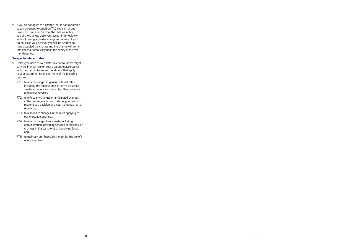76. If you do not agree to a change that is not favourable to you pursuant to condition 74.2 you can, at any time up to two months from the date we notify you of the change, close your account immediately without paying any extra charges or interest. If you do not close your account you will be deemed to have accepted the change and the change will come into effect automatically upon the expiry of the two month period.

#### **Changes to interest rates**

- 77. Unless you have a Fixed Rate Saver account we might vary the interest rate on your account in accordance with the specific terms and conditions that apply to your account(s) for one or more of the following reasons:
	- 77.1 to reflect changes in general interest rates. including the interest rates or terms on which similar accounts are offered by other providers of financial services;
	- 77.2 to reflect any changes or anticipated changes in the law, regulations or codes of practice or to respond to a decision by a court, ombudsman or regulator;
	- 77.3 to respond to changes in the rates applying to our mortgage business;
	- 77.4 to reflect changes to our costs, including administration, providing services or facilities, or changes in the costs to us of borrowing funds; and
	- 77.5 to maintain our financial strength for the benefit of our members.